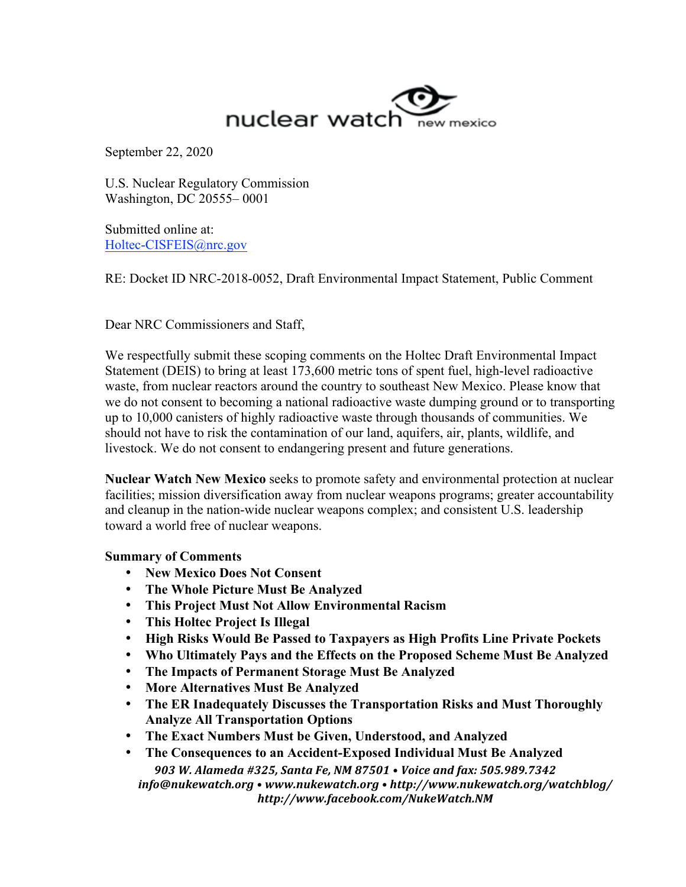

September 22, 2020

U.S. Nuclear Regulatory Commission Washington, DC 20555– 0001

Submitted online at: Holtec-CISFEIS@nrc.gov

RE: Docket ID NRC-2018-0052, Draft Environmental Impact Statement, Public Comment

Dear NRC Commissioners and Staff,

We respectfully submit these scoping comments on the Holtec Draft Environmental Impact Statement (DEIS) to bring at least 173,600 metric tons of spent fuel, high-level radioactive waste, from nuclear reactors around the country to southeast New Mexico. Please know that we do not consent to becoming a national radioactive waste dumping ground or to transporting up to 10,000 canisters of highly radioactive waste through thousands of communities. We should not have to risk the contamination of our land, aquifers, air, plants, wildlife, and livestock. We do not consent to endangering present and future generations.

**Nuclear Watch New Mexico** seeks to promote safety and environmental protection at nuclear facilities; mission diversification away from nuclear weapons programs; greater accountability and cleanup in the nation-wide nuclear weapons complex; and consistent U.S. leadership toward a world free of nuclear weapons.

# **Summary of Comments**

- **New Mexico Does Not Consent**
- **The Whole Picture Must Be Analyzed**
- **This Project Must Not Allow Environmental Racism**
- **This Holtec Project Is Illegal**
- **High Risks Would Be Passed to Taxpayers as High Profits Line Private Pockets**
- **Who Ultimately Pays and the Effects on the Proposed Scheme Must Be Analyzed**
- **The Impacts of Permanent Storage Must Be Analyzed**
- **More Alternatives Must Be Analyzed**
- **The ER Inadequately Discusses the Transportation Risks and Must Thoroughly Analyze All Transportation Options**
- **The Exact Numbers Must be Given, Understood, and Analyzed**
- *903 W. Alameda #325, Santa Fe, NM 87501 • Voice and fax: 505.989.7342 info@nukewatch.org • www.nukewatch.org • http://www.nukewatch.org/watchblog/ http://www.facebook.com/NukeWatch.NM* • **The Consequences to an Accident-Exposed Individual Must Be Analyzed**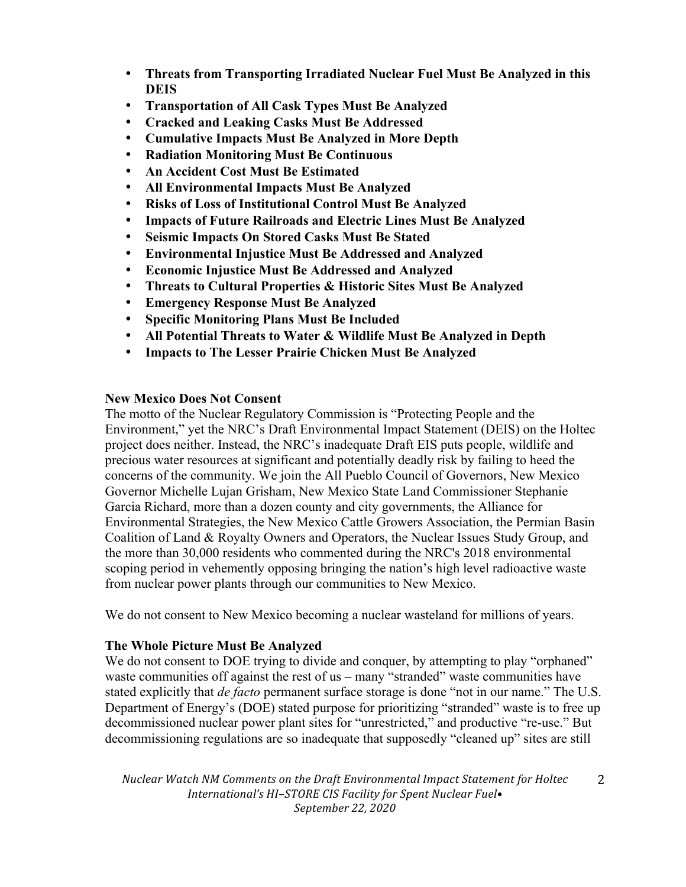- **Threats from Transporting Irradiated Nuclear Fuel Must Be Analyzed in this DEIS**
- **Transportation of All Cask Types Must Be Analyzed**
- **Cracked and Leaking Casks Must Be Addressed**
- **Cumulative Impacts Must Be Analyzed in More Depth**
- **Radiation Monitoring Must Be Continuous**
- **An Accident Cost Must Be Estimated**
- **All Environmental Impacts Must Be Analyzed**
- **Risks of Loss of Institutional Control Must Be Analyzed**
- **Impacts of Future Railroads and Electric Lines Must Be Analyzed**
- **Seismic Impacts On Stored Casks Must Be Stated**
- **Environmental Injustice Must Be Addressed and Analyzed**
- **Economic Injustice Must Be Addressed and Analyzed**
- **Threats to Cultural Properties & Historic Sites Must Be Analyzed**
- **Emergency Response Must Be Analyzed**
- **Specific Monitoring Plans Must Be Included**
- **All Potential Threats to Water & Wildlife Must Be Analyzed in Depth**
- **Impacts to The Lesser Prairie Chicken Must Be Analyzed**

## **New Mexico Does Not Consent**

The motto of the Nuclear Regulatory Commission is "Protecting People and the Environment," yet the NRC's Draft Environmental Impact Statement (DEIS) on the Holtec project does neither. Instead, the NRC's inadequate Draft EIS puts people, wildlife and precious water resources at significant and potentially deadly risk by failing to heed the concerns of the community. We join the All Pueblo Council of Governors, New Mexico Governor Michelle Lujan Grisham, New Mexico State Land Commissioner Stephanie Garcia Richard, more than a dozen county and city governments, the Alliance for Environmental Strategies, the New Mexico Cattle Growers Association, the Permian Basin Coalition of Land & Royalty Owners and Operators, the Nuclear Issues Study Group, and the more than 30,000 residents who commented during the NRC's 2018 environmental scoping period in vehemently opposing bringing the nation's high level radioactive waste from nuclear power plants through our communities to New Mexico.

We do not consent to New Mexico becoming a nuclear wasteland for millions of years.

# **The Whole Picture Must Be Analyzed**

We do not consent to DOE trying to divide and conquer, by attempting to play "orphaned" waste communities off against the rest of us – many "stranded" waste communities have stated explicitly that *de facto* permanent surface storage is done "not in our name." The U.S. Department of Energy's (DOE) stated purpose for prioritizing "stranded" waste is to free up decommissioned nuclear power plant sites for "unrestricted," and productive "re-use." But decommissioning regulations are so inadequate that supposedly "cleaned up" sites are still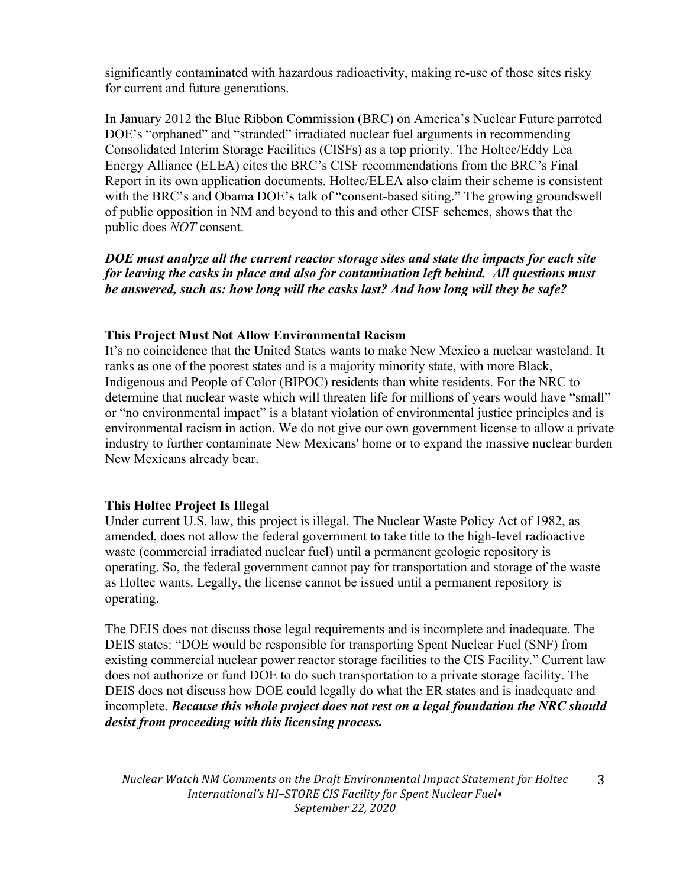significantly contaminated with hazardous radioactivity, making re-use of those sites risky for current and future generations.

In January 2012 the Blue Ribbon Commission (BRC) on America's Nuclear Future parroted DOE's "orphaned" and "stranded" irradiated nuclear fuel arguments in recommending Consolidated Interim Storage Facilities (CISFs) as a top priority. The Holtec/Eddy Lea Energy Alliance (ELEA) cites the BRC's CISF recommendations from the BRC's Final Report in its own application documents. Holtec/ELEA also claim their scheme is consistent with the BRC's and Obama DOE's talk of "consent-based siting." The growing groundswell of public opposition in NM and beyond to this and other CISF schemes, shows that the public does *NOT* consent.

*DOE must analyze all the current reactor storage sites and state the impacts for each site for leaving the casks in place and also for contamination left behind. All questions must be answered, such as: how long will the casks last? And how long will they be safe?*

## **This Project Must Not Allow Environmental Racism**

It's no coincidence that the United States wants to make New Mexico a nuclear wasteland. It ranks as one of the poorest states and is a majority minority state, with more Black, Indigenous and People of Color (BIPOC) residents than white residents. For the NRC to determine that nuclear waste which will threaten life for millions of years would have "small" or "no environmental impact" is a blatant violation of environmental justice principles and is environmental racism in action. We do not give our own government license to allow a private industry to further contaminate New Mexicans' home or to expand the massive nuclear burden New Mexicans already bear.

## **This Holtec Project Is Illegal**

Under current U.S. law, this project is illegal. The Nuclear Waste Policy Act of 1982, as amended, does not allow the federal government to take title to the high-level radioactive waste (commercial irradiated nuclear fuel) until a permanent geologic repository is operating. So, the federal government cannot pay for transportation and storage of the waste as Holtec wants. Legally, the license cannot be issued until a permanent repository is operating.

The DEIS does not discuss those legal requirements and is incomplete and inadequate. The DEIS states: "DOE would be responsible for transporting Spent Nuclear Fuel (SNF) from existing commercial nuclear power reactor storage facilities to the CIS Facility." Current law does not authorize or fund DOE to do such transportation to a private storage facility. The DEIS does not discuss how DOE could legally do what the ER states and is inadequate and incomplete. *Because this whole project does not rest on a legal foundation the NRC should desist from proceeding with this licensing process.*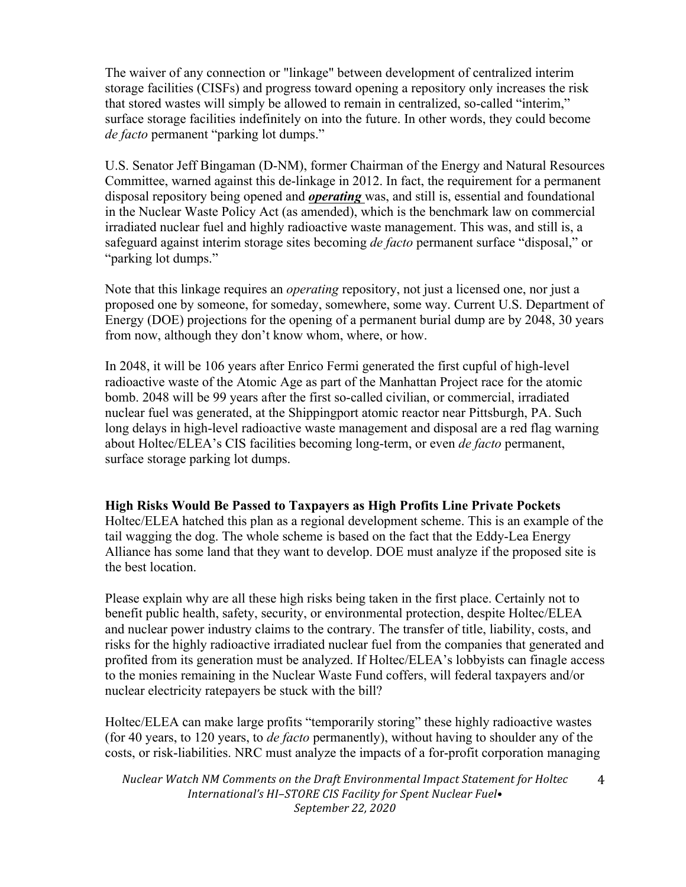The waiver of any connection or "linkage" between development of centralized interim storage facilities (CISFs) and progress toward opening a repository only increases the risk that stored wastes will simply be allowed to remain in centralized, so-called "interim," surface storage facilities indefinitely on into the future. In other words, they could become *de facto* permanent "parking lot dumps."

U.S. Senator Jeff Bingaman (D-NM), former Chairman of the Energy and Natural Resources Committee, warned against this de-linkage in 2012. In fact, the requirement for a permanent disposal repository being opened and *operating* was, and still is, essential and foundational in the Nuclear Waste Policy Act (as amended), which is the benchmark law on commercial irradiated nuclear fuel and highly radioactive waste management. This was, and still is, a safeguard against interim storage sites becoming *de facto* permanent surface "disposal," or "parking lot dumps."

Note that this linkage requires an *operating* repository, not just a licensed one, nor just a proposed one by someone, for someday, somewhere, some way. Current U.S. Department of Energy (DOE) projections for the opening of a permanent burial dump are by 2048, 30 years from now, although they don't know whom, where, or how.

In 2048, it will be 106 years after Enrico Fermi generated the first cupful of high-level radioactive waste of the Atomic Age as part of the Manhattan Project race for the atomic bomb. 2048 will be 99 years after the first so-called civilian, or commercial, irradiated nuclear fuel was generated, at the Shippingport atomic reactor near Pittsburgh, PA. Such long delays in high-level radioactive waste management and disposal are a red flag warning about Holtec/ELEA's CIS facilities becoming long-term, or even *de facto* permanent, surface storage parking lot dumps.

# **High Risks Would Be Passed to Taxpayers as High Profits Line Private Pockets**

Holtec/ELEA hatched this plan as a regional development scheme. This is an example of the tail wagging the dog. The whole scheme is based on the fact that the Eddy-Lea Energy Alliance has some land that they want to develop. DOE must analyze if the proposed site is the best location.

Please explain why are all these high risks being taken in the first place. Certainly not to benefit public health, safety, security, or environmental protection, despite Holtec/ELEA and nuclear power industry claims to the contrary. The transfer of title, liability, costs, and risks for the highly radioactive irradiated nuclear fuel from the companies that generated and profited from its generation must be analyzed. If Holtec/ELEA's lobbyists can finagle access to the monies remaining in the Nuclear Waste Fund coffers, will federal taxpayers and/or nuclear electricity ratepayers be stuck with the bill?

Holtec/ELEA can make large profits "temporarily storing" these highly radioactive wastes (for 40 years, to 120 years, to *de facto* permanently), without having to shoulder any of the costs, or risk-liabilities. NRC must analyze the impacts of a for-profit corporation managing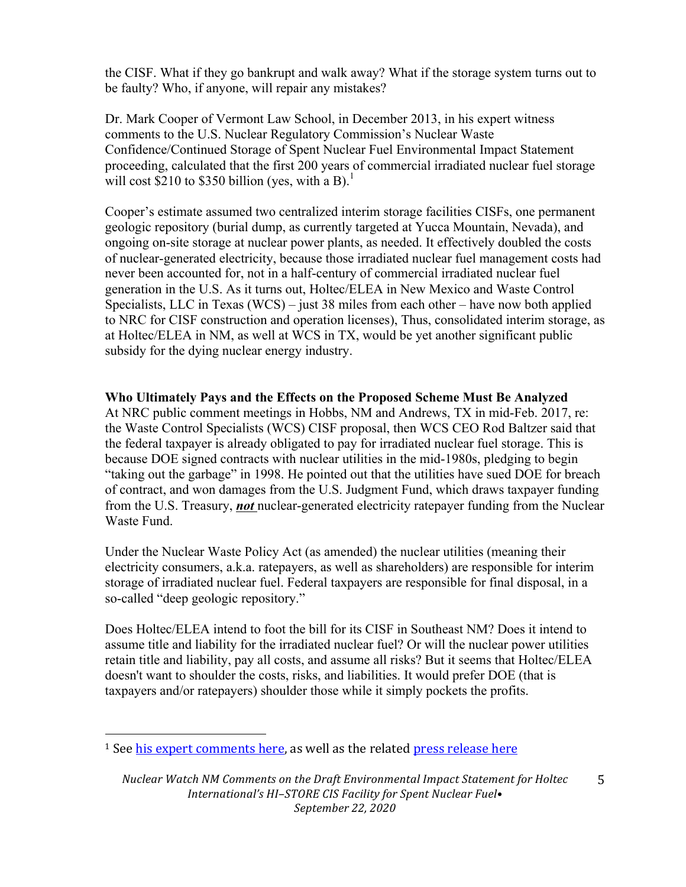the CISF. What if they go bankrupt and walk away? What if the storage system turns out to be faulty? Who, if anyone, will repair any mistakes?

Dr. Mark Cooper of Vermont Law School, in December 2013, in his expert witness comments to the U.S. Nuclear Regulatory Commission's Nuclear Waste Confidence/Continued Storage of Spent Nuclear Fuel Environmental Impact Statement proceeding, calculated that the first 200 years of commercial irradiated nuclear fuel storage will cost \$210 to \$350 billion (yes, with a B).<sup>1</sup>

Cooper's estimate assumed two centralized interim storage facilities CISFs, one permanent geologic repository (burial dump, as currently targeted at Yucca Mountain, Nevada), and ongoing on-site storage at nuclear power plants, as needed. It effectively doubled the costs of nuclear-generated electricity, because those irradiated nuclear fuel management costs had never been accounted for, not in a half-century of commercial irradiated nuclear fuel generation in the U.S. As it turns out, Holtec/ELEA in New Mexico and Waste Control Specialists, LLC in Texas (WCS) – just 38 miles from each other – have now both applied to NRC for CISF construction and operation licenses), Thus, consolidated interim storage, as at Holtec/ELEA in NM, as well at WCS in TX, would be yet another significant public subsidy for the dying nuclear energy industry.

## **Who Ultimately Pays and the Effects on the Proposed Scheme Must Be Analyzed**

At NRC public comment meetings in Hobbs, NM and Andrews, TX in mid-Feb. 2017, re: the Waste Control Specialists (WCS) CISF proposal, then WCS CEO Rod Baltzer said that the federal taxpayer is already obligated to pay for irradiated nuclear fuel storage. This is because DOE signed contracts with nuclear utilities in the mid-1980s, pledging to begin "taking out the garbage" in 1998. He pointed out that the utilities have sued DOE for breach of contract, and won damages from the U.S. Judgment Fund, which draws taxpayer funding from the U.S. Treasury, *not* nuclear-generated electricity ratepayer funding from the Nuclear Waste Fund.

Under the Nuclear Waste Policy Act (as amended) the nuclear utilities (meaning their electricity consumers, a.k.a. ratepayers, as well as shareholders) are responsible for interim storage of irradiated nuclear fuel. Federal taxpayers are responsible for final disposal, in a so-called "deep geologic repository."

Does Holtec/ELEA intend to foot the bill for its CISF in Southeast NM? Does it intend to assume title and liability for the irradiated nuclear fuel? Or will the nuclear power utilities retain title and liability, pay all costs, and assume all risks? But it seems that Holtec/ELEA doesn't want to shoulder the costs, risks, and liabilities. It would prefer DOE (that is taxpayers and/or ratepayers) shoulder those while it simply pockets the profits.

 

 $1$  See his expert comments here, as well as the related press release here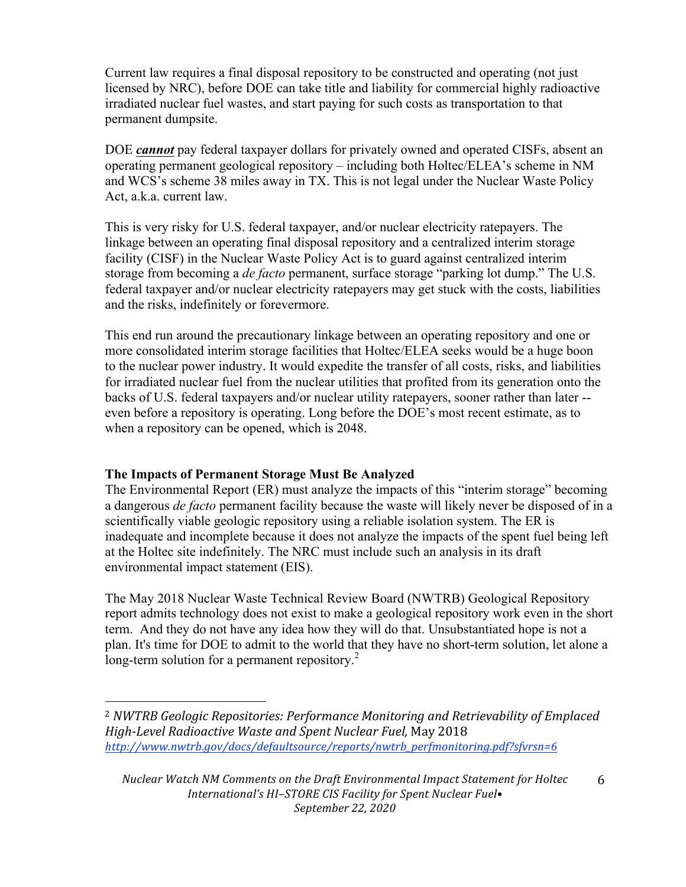Current law requires a final disposal repository to be constructed and operating (not just licensed by NRC), before DOE can take title and liability for commercial highly radioactive irradiated nuclear fuel wastes, and start paying for such costs as transportation to that permanent dumpsite.

DOE *cannot* pay federal taxpayer dollars for privately owned and operated CISFs, absent an operating permanent geological repository – including both Holtec/ELEA's scheme in NM and WCS's scheme 38 miles away in TX. This is not legal under the Nuclear Waste Policy Act, a.k.a. current law.

This is very risky for U.S. federal taxpayer, and/or nuclear electricity ratepayers. The linkage between an operating final disposal repository and a centralized interim storage facility (CISF) in the Nuclear Waste Policy Act is to guard against centralized interim storage from becoming a *de facto* permanent, surface storage "parking lot dump." The U.S. federal taxpayer and/or nuclear electricity ratepayers may get stuck with the costs, liabilities and the risks, indefinitely or forevermore.

This end run around the precautionary linkage between an operating repository and one or more consolidated interim storage facilities that Holtec/ELEA seeks would be a huge boon to the nuclear power industry. It would expedite the transfer of all costs, risks, and liabilities for irradiated nuclear fuel from the nuclear utilities that profited from its generation onto the backs of U.S. federal taxpayers and/or nuclear utility ratepayers, sooner rather than later - even before a repository is operating. Long before the DOE's most recent estimate, as to when a repository can be opened, which is 2048.

# **The Impacts of Permanent Storage Must Be Analyzed**

 

The Environmental Report (ER) must analyze the impacts of this "interim storage" becoming a dangerous *de facto* permanent facility because the waste will likely never be disposed of in a scientifically viable geologic repository using a reliable isolation system. The ER is inadequate and incomplete because it does not analyze the impacts of the spent fuel being left at the Holtec site indefinitely. The NRC must include such an analysis in its draft environmental impact statement (EIS).

The May 2018 Nuclear Waste Technical Review Board (NWTRB) Geological Repository report admits technology does not exist to make a geological repository work even in the short term. And they do not have any idea how they will do that. Unsubstantiated hope is not a plan. It's time for DOE to admit to the world that they have no short-term solution, let alone a long-term solution for a permanent repository.<sup>2</sup>

<sup>&</sup>lt;sup>2</sup> *NWTRB Geologic Repositories: Performance Monitoring and Retrievability of Emplaced High-Level Radioactive Waste and Spent Nuclear Fuel,* May 2018 *http://www.nwtrb.gov/docs/defaultsource/reports/nwtrb\_perfmonitoring.pdf?sfvrsn=6*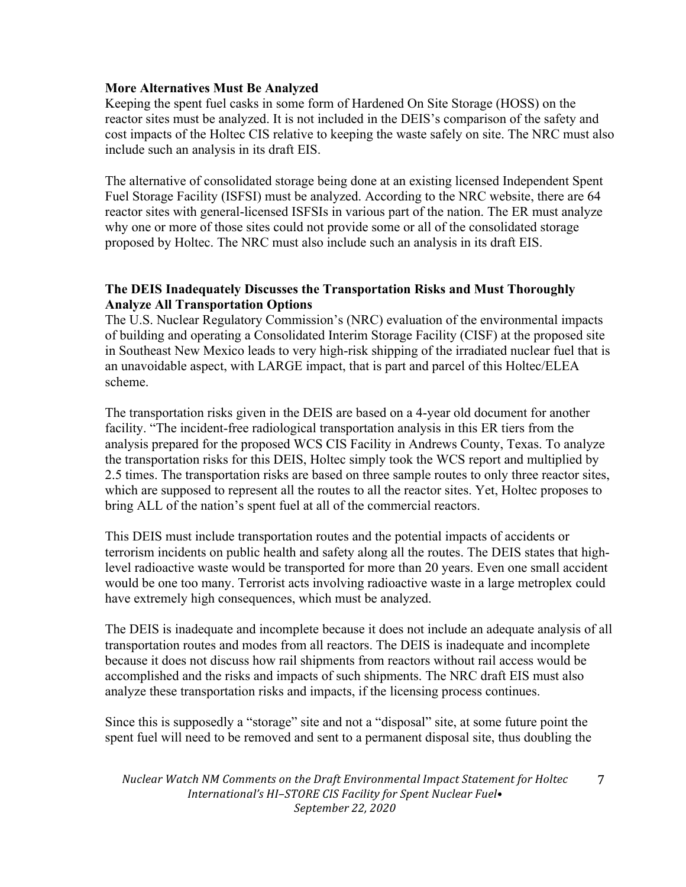## **More Alternatives Must Be Analyzed**

Keeping the spent fuel casks in some form of Hardened On Site Storage (HOSS) on the reactor sites must be analyzed. It is not included in the DEIS's comparison of the safety and cost impacts of the Holtec CIS relative to keeping the waste safely on site. The NRC must also include such an analysis in its draft EIS.

The alternative of consolidated storage being done at an existing licensed Independent Spent Fuel Storage Facility (ISFSI) must be analyzed. According to the NRC website, there are 64 reactor sites with general-licensed ISFSIs in various part of the nation. The ER must analyze why one or more of those sites could not provide some or all of the consolidated storage proposed by Holtec. The NRC must also include such an analysis in its draft EIS.

# **The DEIS Inadequately Discusses the Transportation Risks and Must Thoroughly Analyze All Transportation Options**

The U.S. Nuclear Regulatory Commission's (NRC) evaluation of the environmental impacts of building and operating a Consolidated Interim Storage Facility (CISF) at the proposed site in Southeast New Mexico leads to very high-risk shipping of the irradiated nuclear fuel that is an unavoidable aspect, with LARGE impact, that is part and parcel of this Holtec/ELEA scheme.

The transportation risks given in the DEIS are based on a 4-year old document for another facility. "The incident-free radiological transportation analysis in this ER tiers from the analysis prepared for the proposed WCS CIS Facility in Andrews County, Texas. To analyze the transportation risks for this DEIS, Holtec simply took the WCS report and multiplied by 2.5 times. The transportation risks are based on three sample routes to only three reactor sites, which are supposed to represent all the routes to all the reactor sites. Yet, Holtec proposes to bring ALL of the nation's spent fuel at all of the commercial reactors.

This DEIS must include transportation routes and the potential impacts of accidents or terrorism incidents on public health and safety along all the routes. The DEIS states that highlevel radioactive waste would be transported for more than 20 years. Even one small accident would be one too many. Terrorist acts involving radioactive waste in a large metroplex could have extremely high consequences, which must be analyzed.

The DEIS is inadequate and incomplete because it does not include an adequate analysis of all transportation routes and modes from all reactors. The DEIS is inadequate and incomplete because it does not discuss how rail shipments from reactors without rail access would be accomplished and the risks and impacts of such shipments. The NRC draft EIS must also analyze these transportation risks and impacts, if the licensing process continues.

Since this is supposedly a "storage" site and not a "disposal" site, at some future point the spent fuel will need to be removed and sent to a permanent disposal site, thus doubling the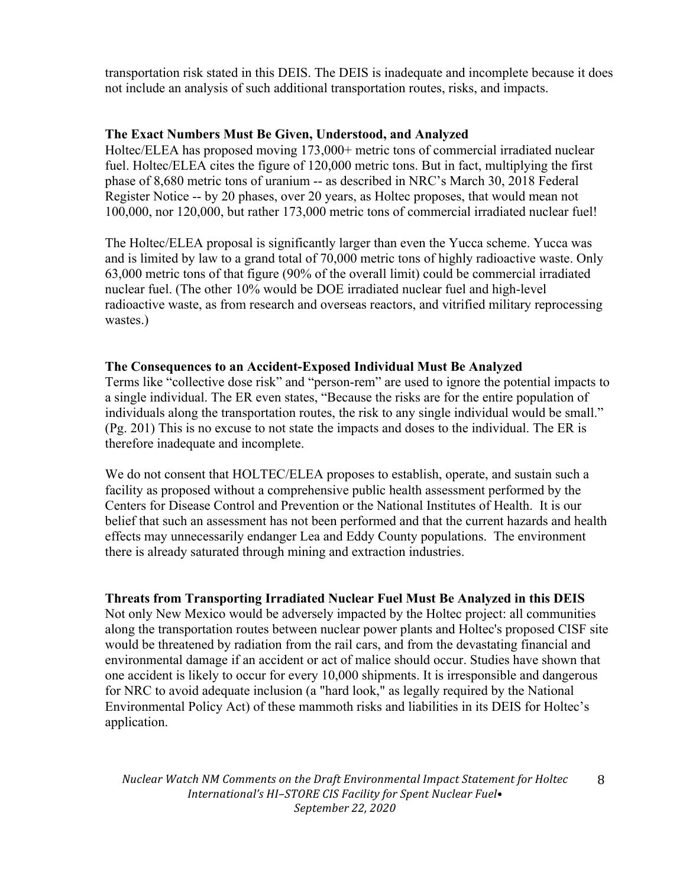transportation risk stated in this DEIS. The DEIS is inadequate and incomplete because it does not include an analysis of such additional transportation routes, risks, and impacts.

## **The Exact Numbers Must Be Given, Understood, and Analyzed**

Holtec/ELEA has proposed moving 173,000+ metric tons of commercial irradiated nuclear fuel. Holtec/ELEA cites the figure of 120,000 metric tons. But in fact, multiplying the first phase of 8,680 metric tons of uranium -- as described in NRC's March 30, 2018 Federal Register Notice -- by 20 phases, over 20 years, as Holtec proposes, that would mean not 100,000, nor 120,000, but rather 173,000 metric tons of commercial irradiated nuclear fuel!

The Holtec/ELEA proposal is significantly larger than even the Yucca scheme. Yucca was and is limited by law to a grand total of 70,000 metric tons of highly radioactive waste. Only 63,000 metric tons of that figure (90% of the overall limit) could be commercial irradiated nuclear fuel. (The other 10% would be DOE irradiated nuclear fuel and high-level radioactive waste, as from research and overseas reactors, and vitrified military reprocessing wastes.)

## **The Consequences to an Accident-Exposed Individual Must Be Analyzed**

Terms like "collective dose risk" and "person-rem" are used to ignore the potential impacts to a single individual. The ER even states, "Because the risks are for the entire population of individuals along the transportation routes, the risk to any single individual would be small." (Pg. 201) This is no excuse to not state the impacts and doses to the individual. The ER is therefore inadequate and incomplete.

We do not consent that HOLTEC/ELEA proposes to establish, operate, and sustain such a facility as proposed without a comprehensive public health assessment performed by the Centers for Disease Control and Prevention or the National Institutes of Health. It is our belief that such an assessment has not been performed and that the current hazards and health effects may unnecessarily endanger Lea and Eddy County populations. The environment there is already saturated through mining and extraction industries.

# **Threats from Transporting Irradiated Nuclear Fuel Must Be Analyzed in this DEIS**

Not only New Mexico would be adversely impacted by the Holtec project: all communities along the transportation routes between nuclear power plants and Holtec's proposed CISF site would be threatened by radiation from the rail cars, and from the devastating financial and environmental damage if an accident or act of malice should occur. Studies have shown that one accident is likely to occur for every 10,000 shipments. It is irresponsible and dangerous for NRC to avoid adequate inclusion (a "hard look," as legally required by the National Environmental Policy Act) of these mammoth risks and liabilities in its DEIS for Holtec's application.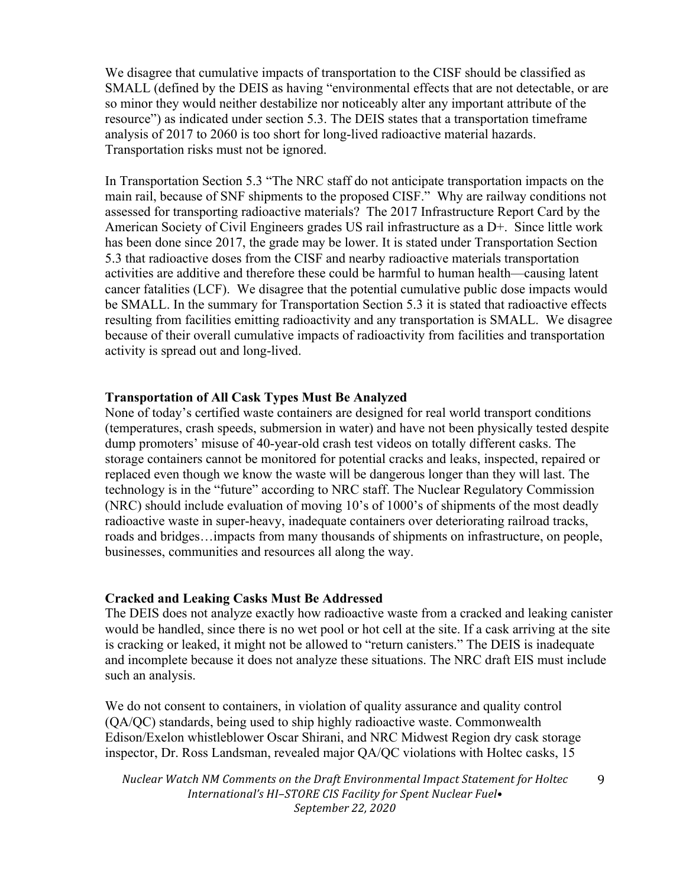We disagree that cumulative impacts of transportation to the CISF should be classified as SMALL (defined by the DEIS as having "environmental effects that are not detectable, or are so minor they would neither destabilize nor noticeably alter any important attribute of the resource") as indicated under section 5.3. The DEIS states that a transportation timeframe analysis of 2017 to 2060 is too short for long-lived radioactive material hazards. Transportation risks must not be ignored.

In Transportation Section 5.3 "The NRC staff do not anticipate transportation impacts on the main rail, because of SNF shipments to the proposed CISF." Why are railway conditions not assessed for transporting radioactive materials? The 2017 Infrastructure Report Card by the American Society of Civil Engineers grades US rail infrastructure as a D+. Since little work has been done since 2017, the grade may be lower. It is stated under Transportation Section 5.3 that radioactive doses from the CISF and nearby radioactive materials transportation activities are additive and therefore these could be harmful to human health—causing latent cancer fatalities (LCF). We disagree that the potential cumulative public dose impacts would be SMALL. In the summary for Transportation Section 5.3 it is stated that radioactive effects resulting from facilities emitting radioactivity and any transportation is SMALL. We disagree because of their overall cumulative impacts of radioactivity from facilities and transportation activity is spread out and long-lived.

## **Transportation of All Cask Types Must Be Analyzed**

None of today's certified waste containers are designed for real world transport conditions (temperatures, crash speeds, submersion in water) and have not been physically tested despite dump promoters' misuse of 40-year-old crash test videos on totally different casks. The storage containers cannot be monitored for potential cracks and leaks, inspected, repaired or replaced even though we know the waste will be dangerous longer than they will last. The technology is in the "future" according to NRC staff. The Nuclear Regulatory Commission (NRC) should include evaluation of moving 10's of 1000's of shipments of the most deadly radioactive waste in super-heavy, inadequate containers over deteriorating railroad tracks, roads and bridges…impacts from many thousands of shipments on infrastructure, on people, businesses, communities and resources all along the way.

#### **Cracked and Leaking Casks Must Be Addressed**

The DEIS does not analyze exactly how radioactive waste from a cracked and leaking canister would be handled, since there is no wet pool or hot cell at the site. If a cask arriving at the site is cracking or leaked, it might not be allowed to "return canisters." The DEIS is inadequate and incomplete because it does not analyze these situations. The NRC draft EIS must include such an analysis.

We do not consent to containers, in violation of quality assurance and quality control (QA/QC) standards, being used to ship highly radioactive waste. Commonwealth Edison/Exelon whistleblower Oscar Shirani, and NRC Midwest Region dry cask storage inspector, Dr. Ross Landsman, revealed major QA/QC violations with Holtec casks, 15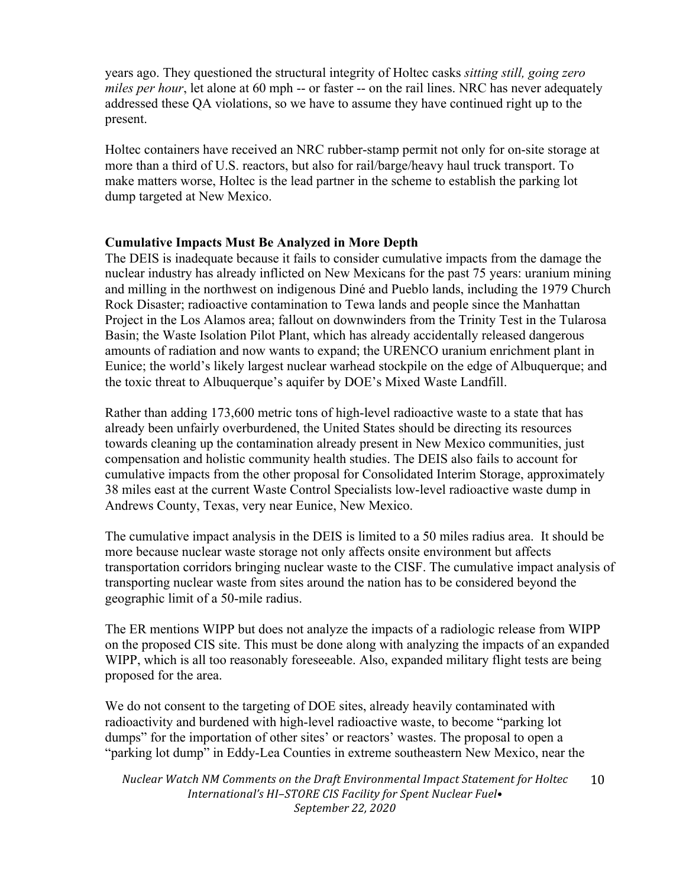years ago. They questioned the structural integrity of Holtec casks *sitting still, going zero miles per hour*, let alone at 60 mph -- or faster -- on the rail lines. NRC has never adequately addressed these QA violations, so we have to assume they have continued right up to the present.

Holtec containers have received an NRC rubber-stamp permit not only for on-site storage at more than a third of U.S. reactors, but also for rail/barge/heavy haul truck transport. To make matters worse, Holtec is the lead partner in the scheme to establish the parking lot dump targeted at New Mexico.

## **Cumulative Impacts Must Be Analyzed in More Depth**

The DEIS is inadequate because it fails to consider cumulative impacts from the damage the nuclear industry has already inflicted on New Mexicans for the past 75 years: uranium mining and milling in the northwest on indigenous Diné and Pueblo lands, including the 1979 Church Rock Disaster; radioactive contamination to Tewa lands and people since the Manhattan Project in the Los Alamos area; fallout on downwinders from the Trinity Test in the Tularosa Basin; the Waste Isolation Pilot Plant, which has already accidentally released dangerous amounts of radiation and now wants to expand; the URENCO uranium enrichment plant in Eunice; the world's likely largest nuclear warhead stockpile on the edge of Albuquerque; and the toxic threat to Albuquerque's aquifer by DOE's Mixed Waste Landfill.

Rather than adding 173,600 metric tons of high-level radioactive waste to a state that has already been unfairly overburdened, the United States should be directing its resources towards cleaning up the contamination already present in New Mexico communities, just compensation and holistic community health studies. The DEIS also fails to account for cumulative impacts from the other proposal for Consolidated Interim Storage, approximately 38 miles east at the current Waste Control Specialists low-level radioactive waste dump in Andrews County, Texas, very near Eunice, New Mexico.

The cumulative impact analysis in the DEIS is limited to a 50 miles radius area. It should be more because nuclear waste storage not only affects onsite environment but affects transportation corridors bringing nuclear waste to the CISF. The cumulative impact analysis of transporting nuclear waste from sites around the nation has to be considered beyond the geographic limit of a 50-mile radius.

The ER mentions WIPP but does not analyze the impacts of a radiologic release from WIPP on the proposed CIS site. This must be done along with analyzing the impacts of an expanded WIPP, which is all too reasonably foreseeable. Also, expanded military flight tests are being proposed for the area.

We do not consent to the targeting of DOE sites, already heavily contaminated with radioactivity and burdened with high-level radioactive waste, to become "parking lot dumps" for the importation of other sites' or reactors' wastes. The proposal to open a "parking lot dump" in Eddy-Lea Counties in extreme southeastern New Mexico, near the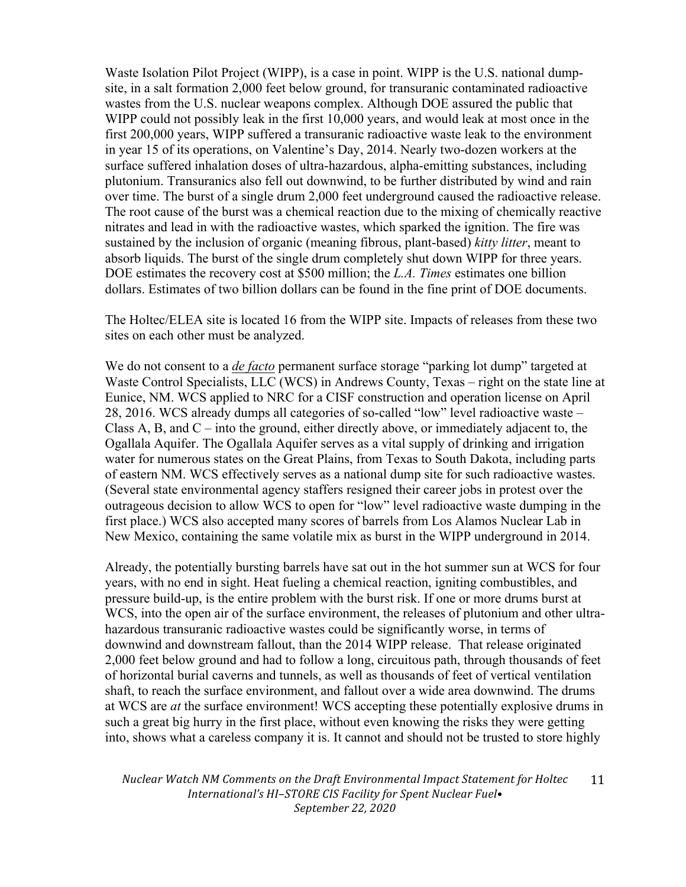Waste Isolation Pilot Project (WIPP), is a case in point. WIPP is the U.S. national dumpsite, in a salt formation 2,000 feet below ground, for transuranic contaminated radioactive wastes from the U.S. nuclear weapons complex. Although DOE assured the public that WIPP could not possibly leak in the first 10,000 years, and would leak at most once in the first 200,000 years, WIPP suffered a transuranic radioactive waste leak to the environment in year 15 of its operations, on Valentine's Day, 2014. Nearly two-dozen workers at the surface suffered inhalation doses of ultra-hazardous, alpha-emitting substances, including plutonium. Transuranics also fell out downwind, to be further distributed by wind and rain over time. The burst of a single drum 2,000 feet underground caused the radioactive release. The root cause of the burst was a chemical reaction due to the mixing of chemically reactive nitrates and lead in with the radioactive wastes, which sparked the ignition. The fire was sustained by the inclusion of organic (meaning fibrous, plant-based) *kitty litter*, meant to absorb liquids. The burst of the single drum completely shut down WIPP for three years. DOE estimates the recovery cost at \$500 million; the *L.A. Times* estimates one billion dollars. Estimates of two billion dollars can be found in the fine print of DOE documents.

The Holtec/ELEA site is located 16 from the WIPP site. Impacts of releases from these two sites on each other must be analyzed.

We do not consent to a *de facto* permanent surface storage "parking lot dump" targeted at Waste Control Specialists, LLC (WCS) in Andrews County, Texas – right on the state line at Eunice, NM. WCS applied to NRC for a CISF construction and operation license on April 28, 2016. WCS already dumps all categories of so-called "low" level radioactive waste – Class A, B, and  $C$  – into the ground, either directly above, or immediately adjacent to, the Ogallala Aquifer. The Ogallala Aquifer serves as a vital supply of drinking and irrigation water for numerous states on the Great Plains, from Texas to South Dakota, including parts of eastern NM. WCS effectively serves as a national dump site for such radioactive wastes. (Several state environmental agency staffers resigned their career jobs in protest over the outrageous decision to allow WCS to open for "low" level radioactive waste dumping in the first place.) WCS also accepted many scores of barrels from Los Alamos Nuclear Lab in New Mexico, containing the same volatile mix as burst in the WIPP underground in 2014.

Already, the potentially bursting barrels have sat out in the hot summer sun at WCS for four years, with no end in sight. Heat fueling a chemical reaction, igniting combustibles, and pressure build-up, is the entire problem with the burst risk. If one or more drums burst at WCS, into the open air of the surface environment, the releases of plutonium and other ultrahazardous transuranic radioactive wastes could be significantly worse, in terms of downwind and downstream fallout, than the 2014 WIPP release. That release originated 2,000 feet below ground and had to follow a long, circuitous path, through thousands of feet of horizontal burial caverns and tunnels, as well as thousands of feet of vertical ventilation shaft, to reach the surface environment, and fallout over a wide area downwind. The drums at WCS are *at* the surface environment! WCS accepting these potentially explosive drums in such a great big hurry in the first place, without even knowing the risks they were getting into, shows what a careless company it is. It cannot and should not be trusted to store highly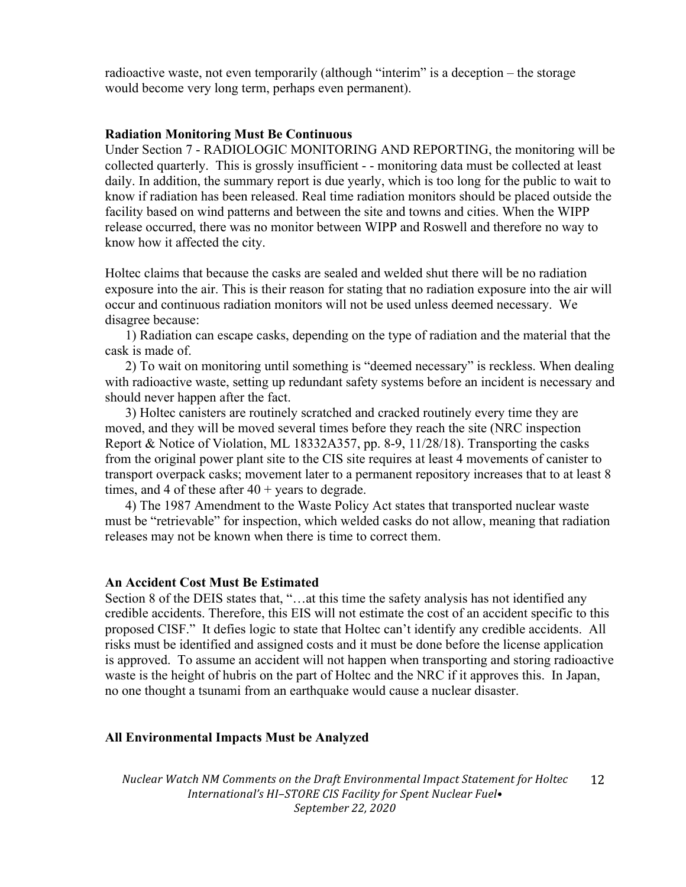radioactive waste, not even temporarily (although "interim" is a deception – the storage would become very long term, perhaps even permanent).

#### **Radiation Monitoring Must Be Continuous**

Under Section 7 - RADIOLOGIC MONITORING AND REPORTING, the monitoring will be collected quarterly. This is grossly insufficient - - monitoring data must be collected at least daily. In addition, the summary report is due yearly, which is too long for the public to wait to know if radiation has been released. Real time radiation monitors should be placed outside the facility based on wind patterns and between the site and towns and cities. When the WIPP release occurred, there was no monitor between WIPP and Roswell and therefore no way to know how it affected the city.

Holtec claims that because the casks are sealed and welded shut there will be no radiation exposure into the air. This is their reason for stating that no radiation exposure into the air will occur and continuous radiation monitors will not be used unless deemed necessary. We disagree because:

1) Radiation can escape casks, depending on the type of radiation and the material that the cask is made of.

2) To wait on monitoring until something is "deemed necessary" is reckless. When dealing with radioactive waste, setting up redundant safety systems before an incident is necessary and should never happen after the fact.

3) Holtec canisters are routinely scratched and cracked routinely every time they are moved, and they will be moved several times before they reach the site (NRC inspection Report & Notice of Violation, ML 18332A357, pp. 8-9, 11/28/18). Transporting the casks from the original power plant site to the CIS site requires at least 4 movements of canister to transport overpack casks; movement later to a permanent repository increases that to at least 8 times, and 4 of these after  $40 + \text{years}$  to degrade.

4) The 1987 Amendment to the Waste Policy Act states that transported nuclear waste must be "retrievable" for inspection, which welded casks do not allow, meaning that radiation releases may not be known when there is time to correct them.

#### **An Accident Cost Must Be Estimated**

Section 8 of the DEIS states that, "...at this time the safety analysis has not identified any credible accidents. Therefore, this EIS will not estimate the cost of an accident specific to this proposed CISF." It defies logic to state that Holtec can't identify any credible accidents. All risks must be identified and assigned costs and it must be done before the license application is approved. To assume an accident will not happen when transporting and storing radioactive waste is the height of hubris on the part of Holtec and the NRC if it approves this. In Japan, no one thought a tsunami from an earthquake would cause a nuclear disaster.

#### **All Environmental Impacts Must be Analyzed**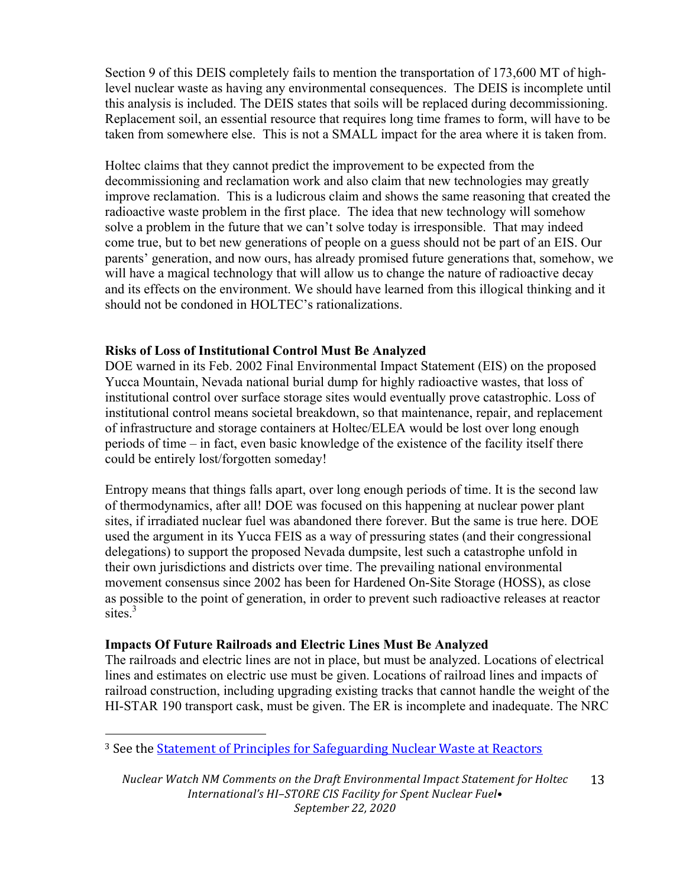Section 9 of this DEIS completely fails to mention the transportation of 173,600 MT of highlevel nuclear waste as having any environmental consequences. The DEIS is incomplete until this analysis is included. The DEIS states that soils will be replaced during decommissioning. Replacement soil, an essential resource that requires long time frames to form, will have to be taken from somewhere else. This is not a SMALL impact for the area where it is taken from.

Holtec claims that they cannot predict the improvement to be expected from the decommissioning and reclamation work and also claim that new technologies may greatly improve reclamation. This is a ludicrous claim and shows the same reasoning that created the radioactive waste problem in the first place. The idea that new technology will somehow solve a problem in the future that we can't solve today is irresponsible. That may indeed come true, but to bet new generations of people on a guess should not be part of an EIS. Our parents' generation, and now ours, has already promised future generations that, somehow, we will have a magical technology that will allow us to change the nature of radioactive decay and its effects on the environment. We should have learned from this illogical thinking and it should not be condoned in HOLTEC's rationalizations.

## **Risks of Loss of Institutional Control Must Be Analyzed**

DOE warned in its Feb. 2002 Final Environmental Impact Statement (EIS) on the proposed Yucca Mountain, Nevada national burial dump for highly radioactive wastes, that loss of institutional control over surface storage sites would eventually prove catastrophic. Loss of institutional control means societal breakdown, so that maintenance, repair, and replacement of infrastructure and storage containers at Holtec/ELEA would be lost over long enough periods of time – in fact, even basic knowledge of the existence of the facility itself there could be entirely lost/forgotten someday!

Entropy means that things falls apart, over long enough periods of time. It is the second law of thermodynamics, after all! DOE was focused on this happening at nuclear power plant sites, if irradiated nuclear fuel was abandoned there forever. But the same is true here. DOE used the argument in its Yucca FEIS as a way of pressuring states (and their congressional delegations) to support the proposed Nevada dumpsite, lest such a catastrophe unfold in their own jurisdictions and districts over time. The prevailing national environmental movement consensus since 2002 has been for Hardened On-Site Storage (HOSS), as close as possible to the point of generation, in order to prevent such radioactive releases at reactor sites. 3

#### **Impacts Of Future Railroads and Electric Lines Must Be Analyzed**

 

The railroads and electric lines are not in place, but must be analyzed. Locations of electrical lines and estimates on electric use must be given. Locations of railroad lines and impacts of railroad construction, including upgrading existing tracks that cannot handle the weight of the HI-STAR 190 transport cask, must be given. The ER is incomplete and inadequate. The NRC

<sup>&</sup>lt;sup>3</sup> See the Statement of Principles for Safeguarding Nuclear Waste at Reactors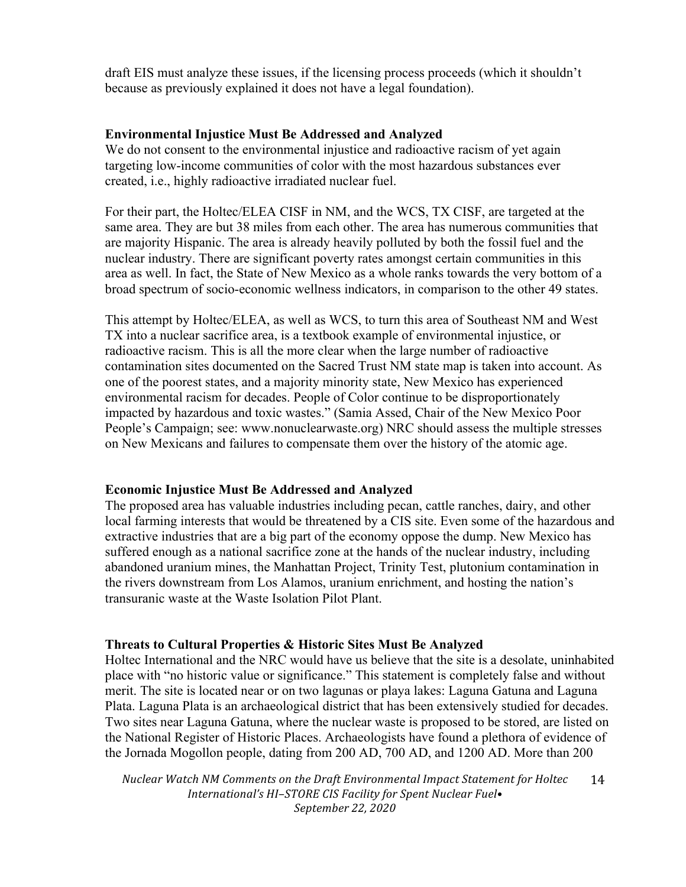draft EIS must analyze these issues, if the licensing process proceeds (which it shouldn't because as previously explained it does not have a legal foundation).

### **Environmental Injustice Must Be Addressed and Analyzed**

We do not consent to the environmental injustice and radioactive racism of yet again targeting low-income communities of color with the most hazardous substances ever created, i.e., highly radioactive irradiated nuclear fuel.

For their part, the Holtec/ELEA CISF in NM, and the WCS, TX CISF, are targeted at the same area. They are but 38 miles from each other. The area has numerous communities that are majority Hispanic. The area is already heavily polluted by both the fossil fuel and the nuclear industry. There are significant poverty rates amongst certain communities in this area as well. In fact, the State of New Mexico as a whole ranks towards the very bottom of a broad spectrum of socio-economic wellness indicators, in comparison to the other 49 states.

This attempt by Holtec/ELEA, as well as WCS, to turn this area of Southeast NM and West TX into a nuclear sacrifice area, is a textbook example of environmental injustice, or radioactive racism. This is all the more clear when the large number of radioactive contamination sites documented on the Sacred Trust NM state map is taken into account. As one of the poorest states, and a majority minority state, New Mexico has experienced environmental racism for decades. People of Color continue to be disproportionately impacted by hazardous and toxic wastes." (Samia Assed, Chair of the New Mexico Poor People's Campaign; see: www.nonuclearwaste.org) NRC should assess the multiple stresses on New Mexicans and failures to compensate them over the history of the atomic age.

## **Economic Injustice Must Be Addressed and Analyzed**

The proposed area has valuable industries including pecan, cattle ranches, dairy, and other local farming interests that would be threatened by a CIS site. Even some of the hazardous and extractive industries that are a big part of the economy oppose the dump. New Mexico has suffered enough as a national sacrifice zone at the hands of the nuclear industry, including abandoned uranium mines, the Manhattan Project, Trinity Test, plutonium contamination in the rivers downstream from Los Alamos, uranium enrichment, and hosting the nation's transuranic waste at the Waste Isolation Pilot Plant.

## **Threats to Cultural Properties & Historic Sites Must Be Analyzed**

Holtec International and the NRC would have us believe that the site is a desolate, uninhabited place with "no historic value or significance." This statement is completely false and without merit. The site is located near or on two lagunas or playa lakes: Laguna Gatuna and Laguna Plata. Laguna Plata is an archaeological district that has been extensively studied for decades. Two sites near Laguna Gatuna, where the nuclear waste is proposed to be stored, are listed on the National Register of Historic Places. Archaeologists have found a plethora of evidence of the Jornada Mogollon people, dating from 200 AD, 700 AD, and 1200 AD. More than 200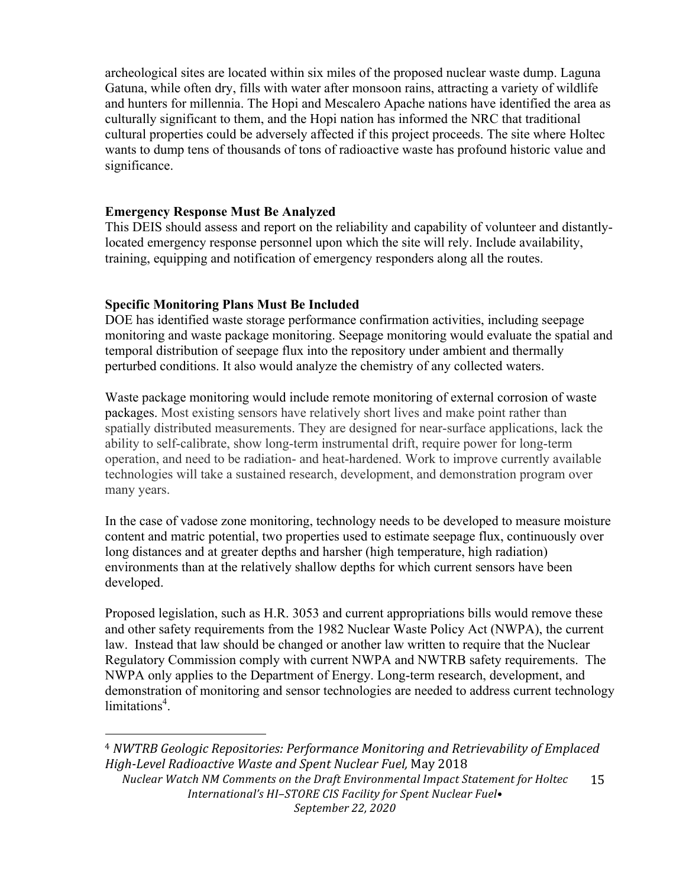archeological sites are located within six miles of the proposed nuclear waste dump. Laguna Gatuna, while often dry, fills with water after monsoon rains, attracting a variety of wildlife and hunters for millennia. The Hopi and Mescalero Apache nations have identified the area as culturally significant to them, and the Hopi nation has informed the NRC that traditional cultural properties could be adversely affected if this project proceeds. The site where Holtec wants to dump tens of thousands of tons of radioactive waste has profound historic value and significance.

## **Emergency Response Must Be Analyzed**

This DEIS should assess and report on the reliability and capability of volunteer and distantlylocated emergency response personnel upon which the site will rely. Include availability, training, equipping and notification of emergency responders along all the routes.

### **Specific Monitoring Plans Must Be Included**

 

DOE has identified waste storage performance confirmation activities, including seepage monitoring and waste package monitoring. Seepage monitoring would evaluate the spatial and temporal distribution of seepage flux into the repository under ambient and thermally perturbed conditions. It also would analyze the chemistry of any collected waters.

Waste package monitoring would include remote monitoring of external corrosion of waste packages. Most existing sensors have relatively short lives and make point rather than spatially distributed measurements. They are designed for near-surface applications, lack the ability to self-calibrate, show long-term instrumental drift, require power for long-term operation, and need to be radiation- and heat-hardened. Work to improve currently available technologies will take a sustained research, development, and demonstration program over many years.

In the case of vadose zone monitoring, technology needs to be developed to measure moisture content and matric potential, two properties used to estimate seepage flux, continuously over long distances and at greater depths and harsher (high temperature, high radiation) environments than at the relatively shallow depths for which current sensors have been developed.

Proposed legislation, such as H.R. 3053 and current appropriations bills would remove these and other safety requirements from the 1982 Nuclear Waste Policy Act (NWPA), the current law. Instead that law should be changed or another law written to require that the Nuclear Regulatory Commission comply with current NWPA and NWTRB safety requirements. The NWPA only applies to the Department of Energy. Long-term research, development, and demonstration of monitoring and sensor technologies are needed to address current technology limitations<sup>4</sup>.

*Nuclear Watch NM Comments on the Draft Environmental Impact Statement for Holtec*  International's HI-STORE CIS Facility for Spent Nuclear Fuel• *September 22, 2020* 15 <sup>4</sup> *NWTRB Geologic Repositories: Performance Monitoring and Retrievability of Emplaced High-Level Radioactive Waste and Spent Nuclear Fuel,* May 2018